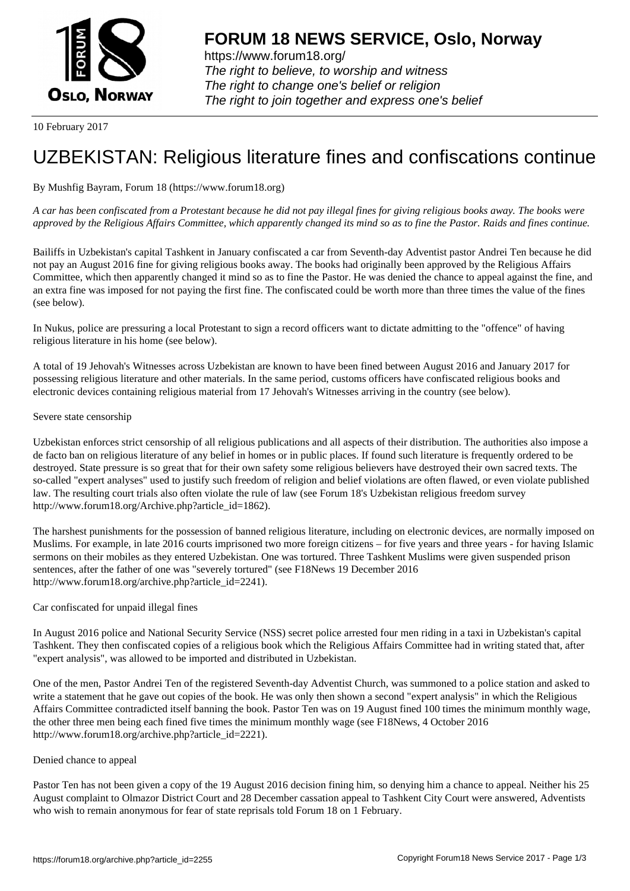

https://www.forum18.org/ The right to believe, to worship and witness The right to change one's belief or religion [The right to join together a](https://www.forum18.org/)nd express one's belief

10 February 2017

# [UZBEKISTAN:](https://www.forum18.org) Religious literature fines and confiscations continue

## By Mushfig Bayram, Forum 18 (https://www.forum18.org)

*A car has been confiscated from a Protestant because he did not pay illegal fines for giving religious books away. The books were approved by the Religious Affairs Committee, which apparently changed its mind so as to fine the Pastor. Raids and fines continue.*

Bailiffs in Uzbekistan's capital Tashkent in January confiscated a car from Seventh-day Adventist pastor Andrei Ten because he did not pay an August 2016 fine for giving religious books away. The books had originally been approved by the Religious Affairs Committee, which then apparently changed it mind so as to fine the Pastor. He was denied the chance to appeal against the fine, and an extra fine was imposed for not paying the first fine. The confiscated could be worth more than three times the value of the fines (see below).

In Nukus, police are pressuring a local Protestant to sign a record officers want to dictate admitting to the "offence" of having religious literature in his home (see below).

A total of 19 Jehovah's Witnesses across Uzbekistan are known to have been fined between August 2016 and January 2017 for possessing religious literature and other materials. In the same period, customs officers have confiscated religious books and electronic devices containing religious material from 17 Jehovah's Witnesses arriving in the country (see below).

### Severe state censorship

Uzbekistan enforces strict censorship of all religious publications and all aspects of their distribution. The authorities also impose a de facto ban on religious literature of any belief in homes or in public places. If found such literature is frequently ordered to be destroyed. State pressure is so great that for their own safety some religious believers have destroyed their own sacred texts. The so-called "expert analyses" used to justify such freedom of religion and belief violations are often flawed, or even violate published law. The resulting court trials also often violate the rule of law (see Forum 18's Uzbekistan religious freedom survey http://www.forum18.org/Archive.php?article\_id=1862).

The harshest punishments for the possession of banned religious literature, including on electronic devices, are normally imposed on Muslims. For example, in late 2016 courts imprisoned two more foreign citizens – for five years and three years - for having Islamic sermons on their mobiles as they entered Uzbekistan. One was tortured. Three Tashkent Muslims were given suspended prison sentences, after the father of one was "severely tortured" (see F18News 19 December 2016 http://www.forum18.org/archive.php?article\_id=2241).

### Car confiscated for unpaid illegal fines

In August 2016 police and National Security Service (NSS) secret police arrested four men riding in a taxi in Uzbekistan's capital Tashkent. They then confiscated copies of a religious book which the Religious Affairs Committee had in writing stated that, after "expert analysis", was allowed to be imported and distributed in Uzbekistan.

One of the men, Pastor Andrei Ten of the registered Seventh-day Adventist Church, was summoned to a police station and asked to write a statement that he gave out copies of the book. He was only then shown a second "expert analysis" in which the Religious Affairs Committee contradicted itself banning the book. Pastor Ten was on 19 August fined 100 times the minimum monthly wage, the other three men being each fined five times the minimum monthly wage (see F18News, 4 October 2016 http://www.forum18.org/archive.php?article\_id=2221).

### Denied chance to appeal

Pastor Ten has not been given a copy of the 19 August 2016 decision fining him, so denying him a chance to appeal. Neither his 25 August complaint to Olmazor District Court and 28 December cassation appeal to Tashkent City Court were answered, Adventists who wish to remain anonymous for fear of state reprisals told Forum 18 on 1 February.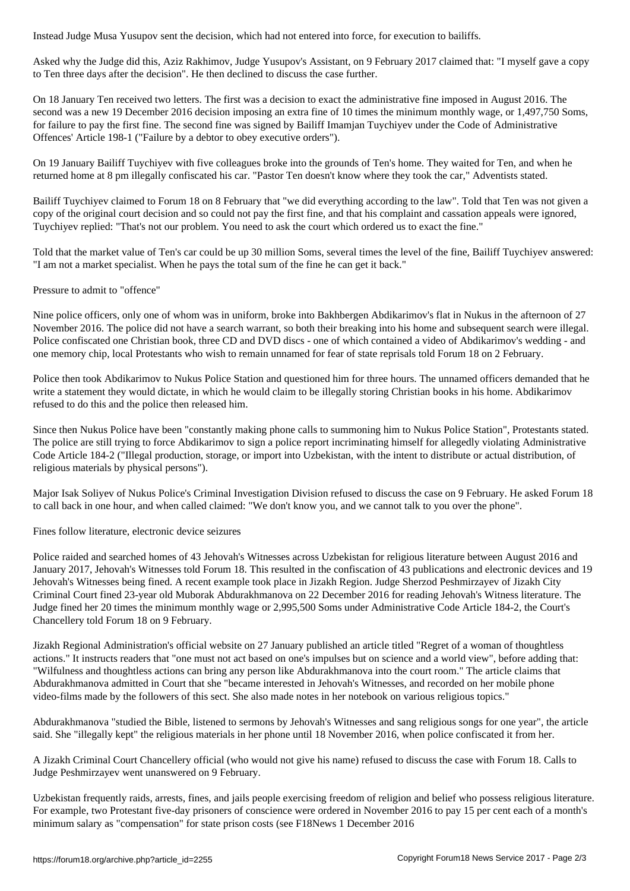Asked why the Judge did this, Aziz Rakhimov, Judge Yusupov's Assistant, on 9 February 2017 claimed that: "I myself gave a copy to Ten three days after the decision". He then declined to discuss the case further.

On 18 January Ten received two letters. The first was a decision to exact the administrative fine imposed in August 2016. The second was a new 19 December 2016 decision imposing an extra fine of 10 times the minimum monthly wage, or 1,497,750 Soms, for failure to pay the first fine. The second fine was signed by Bailiff Imamjan Tuychiyev under the Code of Administrative Offences' Article 198-1 ("Failure by a debtor to obey executive orders").

On 19 January Bailiff Tuychiyev with five colleagues broke into the grounds of Ten's home. They waited for Ten, and when he returned home at 8 pm illegally confiscated his car. "Pastor Ten doesn't know where they took the car," Adventists stated.

Bailiff Tuychiyev claimed to Forum 18 on 8 February that "we did everything according to the law". Told that Ten was not given a copy of the original court decision and so could not pay the first fine, and that his complaint and cassation appeals were ignored, Tuychiyev replied: "That's not our problem. You need to ask the court which ordered us to exact the fine."

Told that the market value of Ten's car could be up 30 million Soms, several times the level of the fine, Bailiff Tuychiyev answered: "I am not a market specialist. When he pays the total sum of the fine he can get it back."

Pressure to admit to "offence"

Nine police officers, only one of whom was in uniform, broke into Bakhbergen Abdikarimov's flat in Nukus in the afternoon of 27 November 2016. The police did not have a search warrant, so both their breaking into his home and subsequent search were illegal. Police confiscated one Christian book, three CD and DVD discs - one of which contained a video of Abdikarimov's wedding - and one memory chip, local Protestants who wish to remain unnamed for fear of state reprisals told Forum 18 on 2 February.

Police then took Abdikarimov to Nukus Police Station and questioned him for three hours. The unnamed officers demanded that he write a statement they would dictate, in which he would claim to be illegally storing Christian books in his home. Abdikarimov refused to do this and the police then released him.

Since then Nukus Police have been "constantly making phone calls to summoning him to Nukus Police Station", Protestants stated. The police are still trying to force Abdikarimov to sign a police report incriminating himself for allegedly violating Administrative Code Article 184-2 ("Illegal production, storage, or import into Uzbekistan, with the intent to distribute or actual distribution, of religious materials by physical persons").

Major Isak Soliyev of Nukus Police's Criminal Investigation Division refused to discuss the case on 9 February. He asked Forum 18 to call back in one hour, and when called claimed: "We don't know you, and we cannot talk to you over the phone".

Fines follow literature, electronic device seizures

Police raided and searched homes of 43 Jehovah's Witnesses across Uzbekistan for religious literature between August 2016 and January 2017, Jehovah's Witnesses told Forum 18. This resulted in the confiscation of 43 publications and electronic devices and 19 Jehovah's Witnesses being fined. A recent example took place in Jizakh Region. Judge Sherzod Peshmirzayev of Jizakh City Criminal Court fined 23-year old Muborak Abdurakhmanova on 22 December 2016 for reading Jehovah's Witness literature. The Judge fined her 20 times the minimum monthly wage or 2,995,500 Soms under Administrative Code Article 184-2, the Court's Chancellery told Forum 18 on 9 February.

Jizakh Regional Administration's official website on 27 January published an article titled "Regret of a woman of thoughtless actions." It instructs readers that "one must not act based on one's impulses but on science and a world view", before adding that: "Wilfulness and thoughtless actions can bring any person like Abdurakhmanova into the court room." The article claims that Abdurakhmanova admitted in Court that she "became interested in Jehovah's Witnesses, and recorded on her mobile phone video-films made by the followers of this sect. She also made notes in her notebook on various religious topics."

Abdurakhmanova "studied the Bible, listened to sermons by Jehovah's Witnesses and sang religious songs for one year", the article said. She "illegally kept" the religious materials in her phone until 18 November 2016, when police confiscated it from her.

A Jizakh Criminal Court Chancellery official (who would not give his name) refused to discuss the case with Forum 18. Calls to Judge Peshmirzayev went unanswered on 9 February.

Uzbekistan frequently raids, arrests, fines, and jails people exercising freedom of religion and belief who possess religious literature. For example, two Protestant five-day prisoners of conscience were ordered in November 2016 to pay 15 per cent each of a month's minimum salary as "compensation" for state prison costs (see F18News 1 December 2016